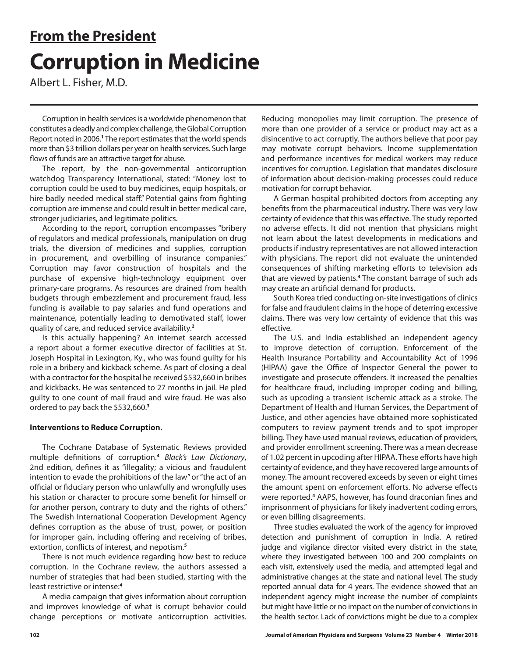# **From the President Corruption in Medicine**

Albert L. Fisher, M.D.

Corruption in health services is a worldwide phenomenon that constitutes a deadly and complex challenge, the Global Corruption Report noted in 2006.<sup>1</sup> The report estimates that the world spends more than \$3 trillion dollars per year on health services. Such large flows of funds are an attractive target for abuse.

The report, by the non-governmental anticorruption watchdog Transparency International, stated: "Money lost to corruption could be used to buy medicines, equip hospitals, or hire badly needed medical staff." Potential gains from fighting corruption are immense and could result in better medical care, stronger judiciaries, and legitimate politics.

According to the report, corruption encompasses "bribery of regulators and medical professionals, manipulation on drug trials, the diversion of medicines and supplies, corruption in procurement, and overbilling of insurance companies." Corruption may favor construction of hospitals and the purchase of expensive high-technology equipment over primary-care programs. As resources are drained from health budgets through embezzlement and procurement fraud, less funding is available to pay salaries and fund operations and maintenance, potentially leading to demotivated staff, lower quality of care, and reduced service availability.**<sup>2</sup>**

Is this actually happening? An internet search accessed a report about a former executive director of facilities at St. Joseph Hospital in Lexington, Ky., who was found guilty for his role in a bribery and kickback scheme. As part of closing a deal with a contractor for the hospital he received \$532,660 in bribes and kickbacks. He was sentenced to 27 months in jail. He pled guilty to one count of mail fraud and wire fraud. He was also ordered to pay back the \$532,660.**<sup>3</sup>**

### **Interventions to Reduce Corruption.**

The Cochrane Database of Systematic Reviews provided multiple definitions of corruption.**<sup>4</sup>** *Black's Law Dictionary*, 2nd edition, defines it as "illegality; a vicious and fraudulent intention to evade the prohibitions of the law" or "the act of an official or fiduciary person who unlawfully and wrongfully uses his station or character to procure some benefit for himself or for another person, contrary to duty and the rights of others." The Swedish International Cooperation Development Agency defines corruption as the abuse of trust, power, or position for improper gain, including offering and receiving of bribes, extortion, conflicts of interest, and nepotism.**<sup>5</sup>**

There is not much evidence regarding how best to reduce corruption. In the Cochrane review, the authors assessed a number of strategies that had been studied, starting with the least restrictive or intense:**<sup>4</sup>**

A media campaign that gives information about corruption and improves knowledge of what is corrupt behavior could change perceptions or motivate anticorruption activities.

Reducing monopolies may limit corruption. The presence of more than one provider of a service or product may act as a disincentive to act corruptly. The authors believe that poor pay may motivate corrupt behaviors. Income supplementation and performance incentives for medical workers may reduce incentives for corruption. Legislation that mandates disclosure of information about decision-making processes could reduce motivation for corrupt behavior.

A German hospital prohibited doctors from accepting any benefits from the pharmaceutical industry. There was very low certainty of evidence that this was effective. The study reported no adverse effects. It did not mention that physicians might not learn about the latest developments in medications and products if industry representatives are not allowed interaction with physicians. The report did not evaluate the unintended consequences of shifting marketing efforts to television ads that are viewed by patients.**<sup>4</sup>** The constant barrage of such ads may create an artificial demand for products.

South Korea tried conducting on-site investigations of clinics for false and fraudulent claims in the hope of deterring excessive claims. There was very low certainty of evidence that this was effective.

The U.S. and India established an independent agency to improve detection of corruption. Enforcement of the Health Insurance Portability and Accountability Act of 1996 (HIPAA) gave the Office of Inspector General the power to investigate and prosecute offenders. It increased the penalties for healthcare fraud, including improper coding and billing, such as upcoding a transient ischemic attack as a stroke. The Department of Health and Human Services, the Department of Justice, and other agencies have obtained more sophisticated computers to review payment trends and to spot improper billing. They have used manual reviews, education of providers, and provider enrollment screening. There was a mean decrease of 1.02 percent in upcoding after HIPAA. These efforts have high certainty of evidence, and they have recovered large amounts of money. The amount recovered exceeds by seven or eight times the amount spent on enforcement efforts. No adverse effects were reported.**<sup>4</sup>** AAPS, however, has found draconian fines and imprisonment of physicians for likely inadvertent coding errors, or even billing disagreements.

Three studies evaluated the work of the agency for improved detection and punishment of corruption in India. A retired judge and vigilance director visited every district in the state, where they investigated between 100 and 200 complaints on each visit, extensively used the media, and attempted legal and administrative changes at the state and national level. The study reported annual data for 4 years. The evidence showed that an independent agency might increase the number of complaints but might have little or no impact on the number of convictions in the health sector. Lack of convictions might be due to a complex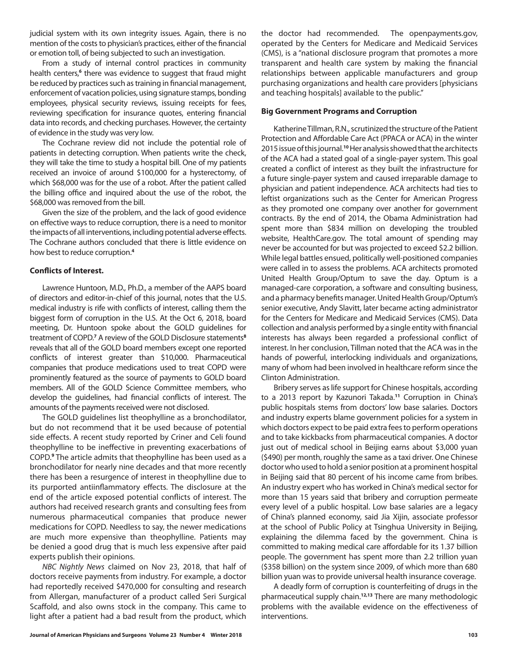judicial system with its own integrity issues. Again, there is no mention of the costs to physician's practices, either of the financial or emotion toll, of being subjected to such an investigation.

From a study of internal control practices in community health centers,<sup>6</sup> there was evidence to suggest that fraud might be reduced by practices such as training in financial management, enforcement of vacation policies, using signature stamps, bonding employees, physical security reviews, issuing receipts for fees, reviewing specification for insurance quotes, entering financial data into records, and checking purchases. However, the certainty of evidence in the study was very low.

The Cochrane review did not include the potential role of patients in detecting corruption. When patients write the check, they will take the time to study a hospital bill. One of my patients received an invoice of around \$100,000 for a hysterectomy, of which \$68,000 was for the use of a robot. After the patient called the billing office and inquired about the use of the robot, the \$68,000 was removed from the bill.

Given the size of the problem, and the lack of good evidence on effective ways to reduce corruption, there is a need to monitor the impacts of all interventions, including potential adverse effects. The Cochrane authors concluded that there is little evidence on how best to reduce corruption.**<sup>4</sup>**

#### **Conflicts of Interest.**

Lawrence Huntoon, M.D., Ph.D., a member of the AAPS board of directors and editor-in-chief of this journal, notes that the U.S. medical industry is rife with conflicts of interest, calling them the biggest form of corruption in the U.S. At the Oct 6, 2018, board meeting, Dr. Huntoon spoke about the GOLD guidelines for treatment of COPD.<sup>7</sup> A review of the GOLD Disclosure statements<sup>8</sup> reveals that all of the GOLD board members except one reported conflicts of interest greater than \$10,000. Pharmaceutical companies that produce medications used to treat COPD were prominently featured as the source of payments to GOLD board members. All of the GOLD Science Committee members, who develop the guidelines, had financial conflicts of interest. The amounts of the payments received were not disclosed.

The GOLD guidelines list theophylline as a bronchodilator, but do not recommend that it be used because of potential side effects. A recent study reported by Criner and Celi found theophylline to be ineffective in preventing exacerbations of COPD.**<sup>9</sup>** The article admits that theophylline has been used as a bronchodilator for nearly nine decades and that more recently there has been a resurgence of interest in theophylline due to its purported antiinflammatory effects. The disclosure at the end of the article exposed potential conflicts of interest. The authors had received research grants and consulting fees from numerous pharmaceutical companies that produce newer medications for COPD. Needless to say, the newer medications are much more expensive than theophylline. Patients may be denied a good drug that is much less expensive after paid experts publish their opinions.

*NBC Nightly News* claimed on Nov 23, 2018, that half of doctors receive payments from industry. For example, a doctor had reportedly received \$470,000 for consulting and research from Allergan, manufacturer of a product called Seri Surgical Scaffold, and also owns stock in the company. This came to light after a patient had a bad result from the product, which

the doctor had recommended. The openpayments.gov, operated by the Centers for Medicare and Medicaid Services (CMS), is a "national disclosure program that promotes a more transparent and health care system by making the financial relationships between applicable manufacturers and group purchasing organizations and health care providers [physicians and teaching hospitals] available to the public."

#### **Big Government Programs and Corruption**

Katherine Tillman, R.N., scrutinized the structure of the Patient Protection and Affordable Care Act (PPACA or ACA) in the winter 2015 issue of this journal.**<sup>10</sup>** Her analysis showed that the architects of the ACA had a stated goal of a single-payer system. This goal created a conflict of interest as they built the infrastructure for a future single-payer system and caused irreparable damage to physician and patient independence. ACA architects had ties to leftist organizations such as the Center for American Progress as they promoted one company over another for government contracts. By the end of 2014, the Obama Administration had spent more than \$834 million on developing the troubled website, HealthCare.gov. The total amount of spending may never be accounted for but was projected to exceed \$2.2 billion. While legal battles ensued, politically well-positioned companies were called in to assess the problems. ACA architects promoted United Health Group/Optum to save the day. Optum is a managed-care corporation, a software and consulting business, and a pharmacy benefits manager. United Health Group/Optum's senior executive, Andy Slavitt, later became acting administrator for the Centers for Medicare and Medicaid Services (CMS). Data collection and analysis performed by a single entity with financial interests has always been regarded a professional conflict of interest. In her conclusion, Tillman noted that the ACA was in the hands of powerful, interlocking individuals and organizations, many of whom had been involved in healthcare reform since the Clinton Administration.

Bribery serves as life support for Chinese hospitals, according to a 2013 report by Kazunori Takada.**<sup>11</sup>** Corruption in China's public hospitals stems from doctors' low base salaries. Doctors and industry experts blame government policies for a system in which doctors expect to be paid extra fees to perform operations and to take kickbacks from pharmaceutical companies. A doctor just out of medical school in Beijing earns about \$3,000 yuan (\$490) per month, roughly the same as a taxi driver. One Chinese doctor who used to hold a senior position at a prominent hospital in Beijing said that 80 percent of his income came from bribes. An industry expert who has worked in China's medical sector for more than 15 years said that bribery and corruption permeate every level of a public hospital. Low base salaries are a legacy of China's planned economy, said Jia Xijin, associate professor at the school of Public Policy at Tsinghua University in Beijing, explaining the dilemma faced by the government. China is committed to making medical care affordable for its 1.37 billion people. The government has spent more than 2.2 trillion yuan (\$358 billion) on the system since 2009, of which more than 680 billion yuan was to provide universal health insurance coverage.

A deadly form of corruption is counterfeiting of drugs in the pharmaceutical supply chain.**12,13** There are many methodologic problems with the available evidence on the effectiveness of interventions.